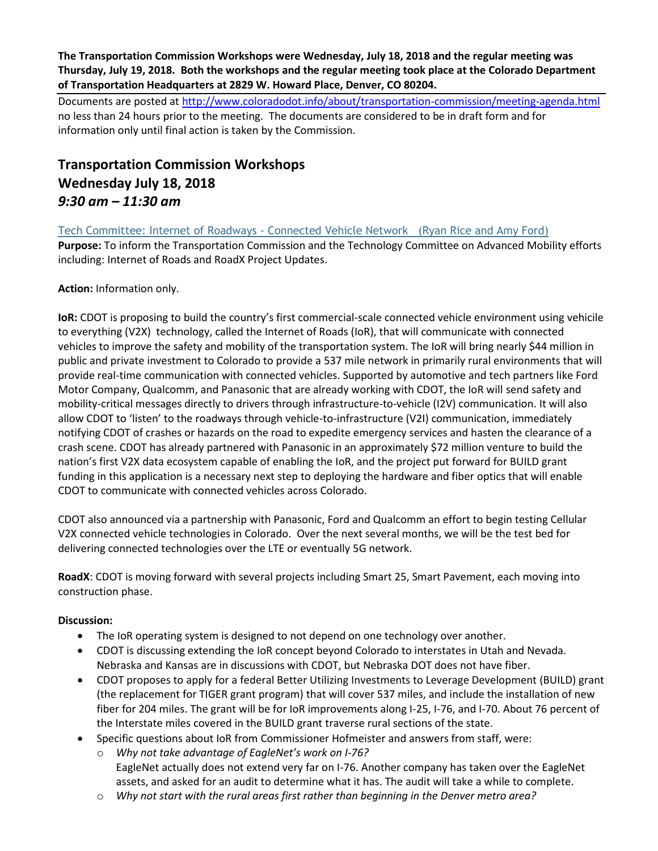**The Transportation Commission Workshops were Wednesday, July 18, 2018 and the regular meeting was Thursday, July 19, 2018. Both the workshops and the regular meeting took place at the Colorado Department of Transportation Headquarters at 2829 W. Howard Place, Denver, CO 80204.**

Documents are posted at http://www.coloradodot.info/about/transportation-commission/meeting-agenda.html no less than 24 hours prior to the meeting. The documents are considered to be in draft form and for information only until final action is taken by the Commission.

# **Transportation Commission Workshops Wednesday July 18, 2018** *9:30 am – 11:30 am*

[Tech Committee: Internet of Roadways -](https://www.codot.gov/about/transportation-commission/documents/2018-agendas-and-supporting-documents/july-2018/1-tech-committee.pdf) Connected Vehicle Network (Ryan Rice and Amy Ford)

**Purpose:** To inform the Transportation Commission and the Technology Committee on Advanced Mobility efforts including: Internet of Roads and RoadX Project Updates.

**Action:** Information only.

**IoR:** CDOT is proposing to build the country's first commercial-scale connected vehicle environment using vehicile to everything (V2X) technology, called the Internet of Roads (IoR), that will communicate with connected vehicles to improve the safety and mobility of the transportation system. The IoR will bring nearly \$44 million in public and private investment to Colorado to provide a 537 mile network in primarily rural environments that will provide real-time communication with connected vehicles. Supported by automotive and tech partners like Ford Motor Company, Qualcomm, and Panasonic that are already working with CDOT, the IoR will send safety and mobility-critical messages directly to drivers through infrastructure-to-vehicle (I2V) communication. It will also allow CDOT to 'listen' to the roadways through vehicle-to-infrastructure (V2I) communication, immediately notifying CDOT of crashes or hazards on the road to expedite emergency services and hasten the clearance of a crash scene. CDOT has already partnered with Panasonic in an approximately \$72 million venture to build the nation's first V2X data ecosystem capable of enabling the IoR, and the project put forward for BUILD grant funding in this application is a necessary next step to deploying the hardware and fiber optics that will enable CDOT to communicate with connected vehicles across Colorado.

CDOT also announced via a partnership with Panasonic, Ford and Qualcomm an effort to begin testing Cellular V2X connected vehicle technologies in Colorado. Over the next several months, we will be the test bed for delivering connected technologies over the LTE or eventually 5G network.

**RoadX**: CDOT is moving forward with several projects including Smart 25, Smart Pavement, each moving into construction phase.

# **Discussion:**

- The IoR operating system is designed to not depend on one technology over another.
- CDOT is discussing extending the IoR concept beyond Colorado to interstates in Utah and Nevada. Nebraska and Kansas are in discussions with CDOT, but Nebraska DOT does not have fiber.
- CDOT proposes to apply for a federal Better Utilizing Investments to Leverage Development (BUILD) grant (the replacement for TIGER grant program) that will cover 537 miles, and include the installation of new fiber for 204 miles. The grant will be for IoR improvements along I-25, I-76, and I-70. About 76 percent of the Interstate miles covered in the BUILD grant traverse rural sections of the state.
- Specific questions about IoR from Commissioner Hofmeister and answers from staff, were:
	- o *Why not take advantage of EagleNet's work on I-76?* EagleNet actually does not extend very far on I-76. Another company has taken over the EagleNet assets, and asked for an audit to determine what it has. The audit will take a while to complete.
	- o *Why not start with the rural areas first rather than beginning in the Denver metro area?*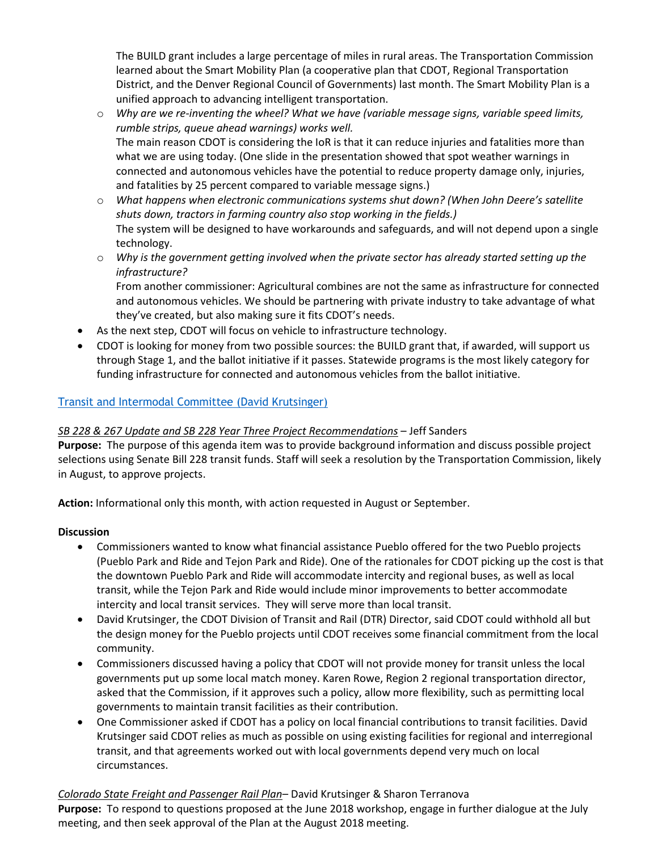The BUILD grant includes a large percentage of miles in rural areas. The Transportation Commission learned about the Smart Mobility Plan (a cooperative plan that CDOT, Regional Transportation District, and the Denver Regional Council of Governments) last month. The Smart Mobility Plan is a unified approach to advancing intelligent transportation.

- o *Why are we re-inventing the wheel? What we have (variable message signs, variable speed limits, rumble strips, queue ahead warnings) works well.* The main reason CDOT is considering the IoR is that it can reduce injuries and fatalities more than what we are using today. (One slide in the presentation showed that spot weather warnings in connected and autonomous vehicles have the potential to reduce property damage only, injuries, and fatalities by 25 percent compared to variable message signs.)
- o *What happens when electronic communications systems shut down? (When John Deere's satellite shuts down, tractors in farming country also stop working in the fields.)*  The system will be designed to have workarounds and safeguards, and will not depend upon a single technology.
- o *Why is the government getting involved when the private sector has already started setting up the infrastructure?*

From another commissioner: Agricultural combines are not the same as infrastructure for connected and autonomous vehicles. We should be partnering with private industry to take advantage of what they've created, but also making sure it fits CDOT's needs.

- As the next step, CDOT will focus on vehicle to infrastructure technology.
- CDOT is looking for money from two possible sources: the BUILD grant that, if awarded, will support us through Stage 1, and the ballot initiative if it passes. Statewide programs is the most likely category for funding infrastructure for connected and autonomous vehicles from the ballot initiative.

# [Transit and Intermodal Committee \(David Krutsinger\)](https://www.codot.gov/about/transportation-commission/documents/2018-agendas-and-supporting-documents/july-2018/2-t-i-committee.pdf)

# *SB 228 & 267 Update and SB 228 Year Three Project Recommendations* – Jeff Sanders

**Purpose:** The purpose of this agenda item was to provide background information and discuss possible project selections using Senate Bill 228 transit funds. Staff will seek a resolution by the Transportation Commission, likely in August, to approve projects.

**Action:** Informational only this month, with action requested in August or September.

# **Discussion**

- Commissioners wanted to know what financial assistance Pueblo offered for the two Pueblo projects (Pueblo Park and Ride and Tejon Park and Ride). One of the rationales for CDOT picking up the cost is that the downtown Pueblo Park and Ride will accommodate intercity and regional buses, as well as local transit, while the Tejon Park and Ride would include minor improvements to better accommodate intercity and local transit services. They will serve more than local transit.
- David Krutsinger, the CDOT Division of Transit and Rail (DTR) Director, said CDOT could withhold all but the design money for the Pueblo projects until CDOT receives some financial commitment from the local community.
- Commissioners discussed having a policy that CDOT will not provide money for transit unless the local governments put up some local match money. Karen Rowe, Region 2 regional transportation director, asked that the Commission, if it approves such a policy, allow more flexibility, such as permitting local governments to maintain transit facilities as their contribution.
- One Commissioner asked if CDOT has a policy on local financial contributions to transit facilities. David Krutsinger said CDOT relies as much as possible on using existing facilities for regional and interregional transit, and that agreements worked out with local governments depend very much on local circumstances.

# *Colorado State Freight and Passenger Rail Plan*– David Krutsinger & Sharon Terranova

**Purpose:** To respond to questions proposed at the June 2018 workshop, engage in further dialogue at the July meeting, and then seek approval of the Plan at the August 2018 meeting.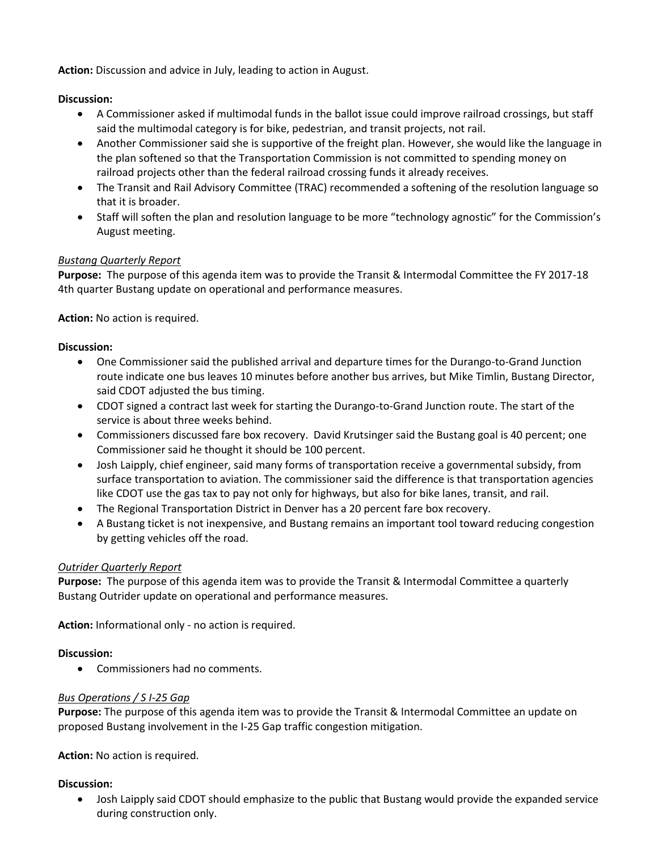**Action:** Discussion and advice in July, leading to action in August.

### **Discussion:**

- A Commissioner asked if multimodal funds in the ballot issue could improve railroad crossings, but staff said the multimodal category is for bike, pedestrian, and transit projects, not rail.
- Another Commissioner said she is supportive of the freight plan. However, she would like the language in the plan softened so that the Transportation Commission is not committed to spending money on railroad projects other than the federal railroad crossing funds it already receives.
- The Transit and Rail Advisory Committee (TRAC) recommended a softening of the resolution language so that it is broader.
- Staff will soften the plan and resolution language to be more "technology agnostic" for the Commission's August meeting.

### *Bustang Quarterly Report*

**Purpose:** The purpose of this agenda item was to provide the Transit & Intermodal Committee the FY 2017-18 4th quarter Bustang update on operational and performance measures.

**Action:** No action is required.

### **Discussion:**

- One Commissioner said the published arrival and departure times for the Durango-to-Grand Junction route indicate one bus leaves 10 minutes before another bus arrives, but Mike Timlin, Bustang Director, said CDOT adjusted the bus timing.
- CDOT signed a contract last week for starting the Durango-to-Grand Junction route. The start of the service is about three weeks behind.
- Commissioners discussed fare box recovery. David Krutsinger said the Bustang goal is 40 percent; one Commissioner said he thought it should be 100 percent.
- Josh Laipply, chief engineer, said many forms of transportation receive a governmental subsidy, from surface transportation to aviation. The commissioner said the difference is that transportation agencies like CDOT use the gas tax to pay not only for highways, but also for bike lanes, transit, and rail.
- The Regional Transportation District in Denver has a 20 percent fare box recovery.
- A Bustang ticket is not inexpensive, and Bustang remains an important tool toward reducing congestion by getting vehicles off the road.

### *Outrider Quarterly Report*

**Purpose:** The purpose of this agenda item was to provide the Transit & Intermodal Committee a quarterly Bustang Outrider update on operational and performance measures.

**Action:** Informational only - no action is required.

### **Discussion:**

Commissioners had no comments.

### *Bus Operations / S I-25 Gap*

**Purpose:** The purpose of this agenda item was to provide the Transit & Intermodal Committee an update on proposed Bustang involvement in the I-25 Gap traffic congestion mitigation.

**Action:** No action is required.

### **Discussion:**

 Josh Laipply said CDOT should emphasize to the public that Bustang would provide the expanded service during construction only.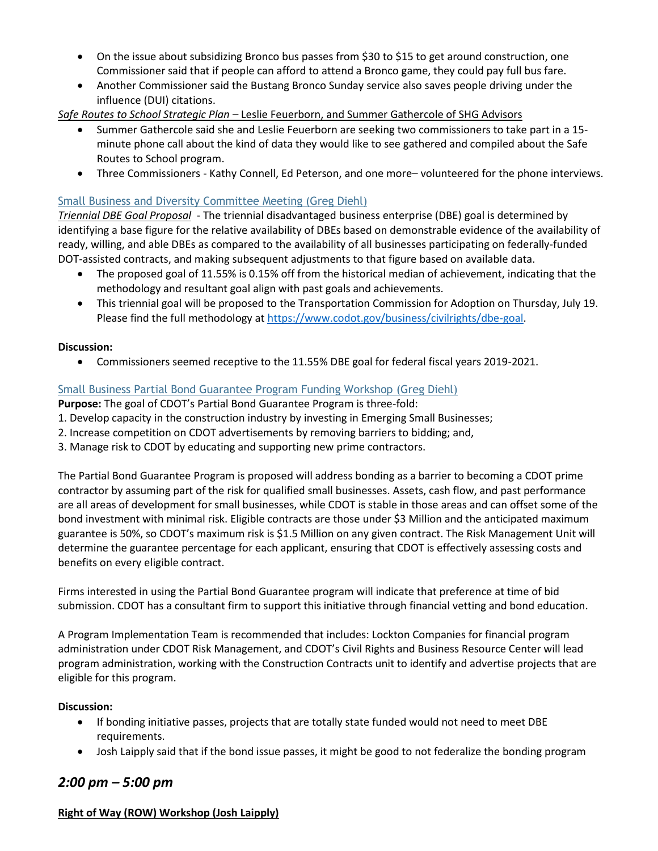- On the issue about subsidizing Bronco bus passes from \$30 to \$15 to get around construction, one Commissioner said that if people can afford to attend a Bronco game, they could pay full bus fare.
- Another Commissioner said the Bustang Bronco Sunday service also saves people driving under the influence (DUI) citations.

# *Safe Routes to School Strategic Plan –* Leslie Feuerborn, and Summer Gathercole of SHG Advisors

- Summer Gathercole said she and Leslie Feuerborn are seeking two commissioners to take part in a 15minute phone call about the kind of data they would like to see gathered and compiled about the Safe Routes to School program.
- Three Commissioners Kathy Connell, Ed Peterson, and one more– volunteered for the phone interviews.

### [Small Business and Diversity Committee Meeting \(Greg Diehl\)](https://www.codot.gov/about/transportation-commission/documents/2018-agendas-and-supporting-documents/july-2018/3-sbd-committee.pdf)

*Triennial DBE Goal Proposal* - The triennial disadvantaged business enterprise (DBE) goal is determined by identifying a base figure for the relative availability of DBEs based on demonstrable evidence of the availability of ready, willing, and able DBEs as compared to the availability of all businesses participating on federally-funded DOT-assisted contracts, and making subsequent adjustments to that figure based on available data.

- The proposed goal of 11.55% is 0.15% off from the historical median of achievement, indicating that the methodology and resultant goal align with past goals and achievements.
- This triennial goal will be proposed to the Transportation Commission for Adoption on Thursday, July 19. Please find the full methodology a[t https://www.codot.gov/business/civilrights/dbe-goal.](https://www.codot.gov/business/civilrights/dbe-goal)

### **Discussion:**

Commissioners seemed receptive to the 11.55% DBE goal for federal fiscal years 2019-2021.

### [Small Business Partial Bond Guarantee Program Funding Workshop](https://www.codot.gov/about/transportation-commission/documents/2018-agendas-and-supporting-documents/july-2018/4-sbd-bond-program.pdf) (Greg Diehl)

**Purpose:** The goal of CDOT's Partial Bond Guarantee Program is three-fold:

- 1. Develop capacity in the construction industry by investing in Emerging Small Businesses;
- 2. Increase competition on CDOT advertisements by removing barriers to bidding; and,
- 3. Manage risk to CDOT by educating and supporting new prime contractors.

The Partial Bond Guarantee Program is proposed will address bonding as a barrier to becoming a CDOT prime contractor by assuming part of the risk for qualified small businesses. Assets, cash flow, and past performance are all areas of development for small businesses, while CDOT is stable in those areas and can offset some of the bond investment with minimal risk. Eligible contracts are those under \$3 Million and the anticipated maximum guarantee is 50%, so CDOT's maximum risk is \$1.5 Million on any given contract. The Risk Management Unit will determine the guarantee percentage for each applicant, ensuring that CDOT is effectively assessing costs and benefits on every eligible contract.

Firms interested in using the Partial Bond Guarantee program will indicate that preference at time of bid submission. CDOT has a consultant firm to support this initiative through financial vetting and bond education.

A Program Implementation Team is recommended that includes: Lockton Companies for financial program administration under CDOT Risk Management, and CDOT's Civil Rights and Business Resource Center will lead program administration, working with the Construction Contracts unit to identify and advertise projects that are eligible for this program.

### **Discussion:**

- If bonding initiative passes, projects that are totally state funded would not need to meet DBE requirements.
- Josh Laipply said that if the bond issue passes, it might be good to not federalize the bonding program

# *2:00 pm – 5:00 pm*

### **Right of Way (ROW) Workshop (Josh Laipply)**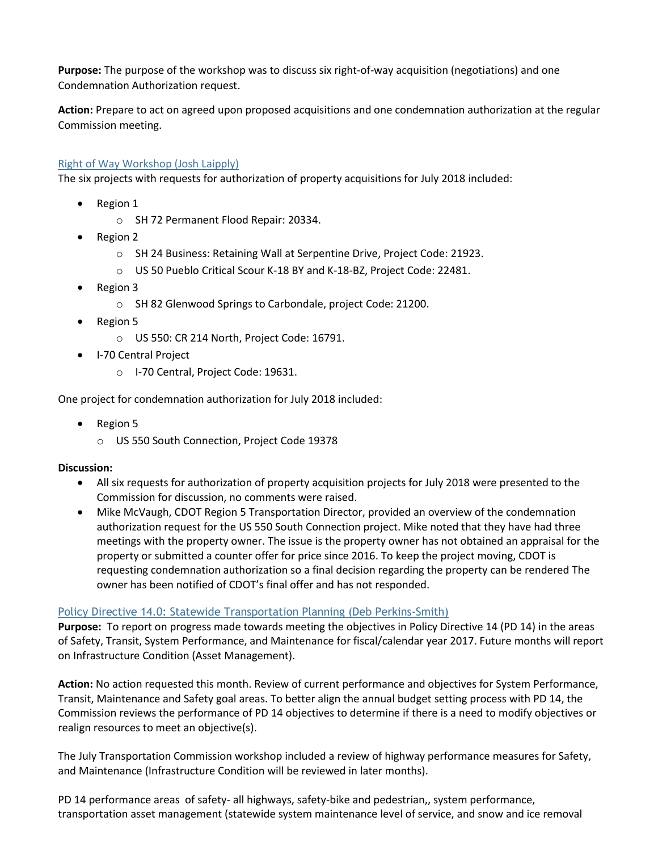**Purpose:** The purpose of the workshop was to discuss six right-of-way acquisition (negotiations) and one Condemnation Authorization request.

**Action:** Prepare to act on agreed upon proposed acquisitions and one condemnation authorization at the regular Commission meeting.

### [Right of Way Workshop \(Josh Laipply\)](https://www.codot.gov/about/transportation-commission/documents/2018-agendas-and-supporting-documents/june-2018/tc_row_2018_06_final-with-exhibits.pdf)

The six projects with requests for authorization of property acquisitions for July 2018 included:

- Region 1
	- o SH 72 Permanent Flood Repair: 20334.
- Region 2
	- o SH 24 Business: Retaining Wall at Serpentine Drive, Project Code: 21923.
	- o US 50 Pueblo Critical Scour K-18 BY and K-18-BZ, Project Code: 22481.
- Region 3
	- o SH 82 Glenwood Springs to Carbondale, project Code: 21200.
- Region 5
	- o US 550: CR 214 North, Project Code: 16791.
- I-70 Central Project
	- o I-70 Central, Project Code: 19631.

One project for condemnation authorization for July 2018 included:

- Region 5
	- o US 550 South Connection, Project Code 19378

### **Discussion:**

- All six requests for authorization of property acquisition projects for July 2018 were presented to the Commission for discussion, no comments were raised.
- Mike McVaugh, CDOT Region 5 Transportation Director, provided an overview of the condemnation authorization request for the US 550 South Connection project. Mike noted that they have had three meetings with the property owner. The issue is the property owner has not obtained an appraisal for the property or submitted a counter offer for price since 2016. To keep the project moving, CDOT is requesting condemnation authorization so a final decision regarding the property can be rendered The owner has been notified of CDOT's final offer and has not responded.

### [Policy Directive 14.0: Statewide Transportation Planning \(Deb Perkins-Smith\)](https://www.codot.gov/about/transportation-commission/documents/2018-agendas-and-supporting-documents/july-2018/5-pd-14.pdf)

**Purpose:** To report on progress made towards meeting the objectives in Policy Directive 14 (PD 14) in the areas of Safety, Transit, System Performance, and Maintenance for fiscal/calendar year 2017. Future months will report on Infrastructure Condition (Asset Management).

**Action:** No action requested this month. Review of current performance and objectives for System Performance, Transit, Maintenance and Safety goal areas. To better align the annual budget setting process with PD 14, the Commission reviews the performance of PD 14 objectives to determine if there is a need to modify objectives or realign resources to meet an objective(s).

The July Transportation Commission workshop included a review of highway performance measures for Safety, and Maintenance (Infrastructure Condition will be reviewed in later months).

PD 14 performance areas of safety- all highways, safety-bike and pedestrian,, system performance, transportation asset management (statewide system maintenance level of service, and snow and ice removal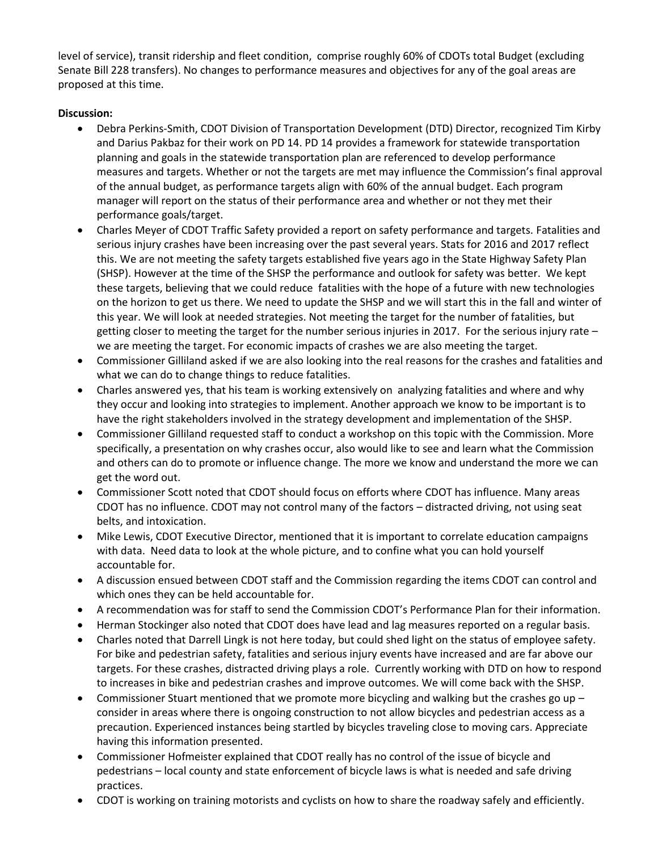level of service), transit ridership and fleet condition, comprise roughly 60% of CDOTs total Budget (excluding Senate Bill 228 transfers). No changes to performance measures and objectives for any of the goal areas are proposed at this time.

# **Discussion:**

- Debra Perkins-Smith, CDOT Division of Transportation Development (DTD) Director, recognized Tim Kirby and Darius Pakbaz for their work on PD 14. PD 14 provides a framework for statewide transportation planning and goals in the statewide transportation plan are referenced to develop performance measures and targets. Whether or not the targets are met may influence the Commission's final approval of the annual budget, as performance targets align with 60% of the annual budget. Each program manager will report on the status of their performance area and whether or not they met their performance goals/target.
- Charles Meyer of CDOT Traffic Safety provided a report on safety performance and targets. Fatalities and serious injury crashes have been increasing over the past several years. Stats for 2016 and 2017 reflect this. We are not meeting the safety targets established five years ago in the State Highway Safety Plan (SHSP). However at the time of the SHSP the performance and outlook for safety was better. We kept these targets, believing that we could reduce fatalities with the hope of a future with new technologies on the horizon to get us there. We need to update the SHSP and we will start this in the fall and winter of this year. We will look at needed strategies. Not meeting the target for the number of fatalities, but getting closer to meeting the target for the number serious injuries in 2017. For the serious injury rate – we are meeting the target. For economic impacts of crashes we are also meeting the target.
- Commissioner Gilliland asked if we are also looking into the real reasons for the crashes and fatalities and what we can do to change things to reduce fatalities.
- Charles answered yes, that his team is working extensively on analyzing fatalities and where and why they occur and looking into strategies to implement. Another approach we know to be important is to have the right stakeholders involved in the strategy development and implementation of the SHSP.
- Commissioner Gilliland requested staff to conduct a workshop on this topic with the Commission. More specifically, a presentation on why crashes occur, also would like to see and learn what the Commission and others can do to promote or influence change. The more we know and understand the more we can get the word out.
- Commissioner Scott noted that CDOT should focus on efforts where CDOT has influence. Many areas CDOT has no influence. CDOT may not control many of the factors – distracted driving, not using seat belts, and intoxication.
- Mike Lewis, CDOT Executive Director, mentioned that it is important to correlate education campaigns with data. Need data to look at the whole picture, and to confine what you can hold yourself accountable for.
- A discussion ensued between CDOT staff and the Commission regarding the items CDOT can control and which ones they can be held accountable for.
- A recommendation was for staff to send the Commission CDOT's Performance Plan for their information.
- Herman Stockinger also noted that CDOT does have lead and lag measures reported on a regular basis.
- Charles noted that Darrell Lingk is not here today, but could shed light on the status of employee safety. For bike and pedestrian safety, fatalities and serious injury events have increased and are far above our targets. For these crashes, distracted driving plays a role. Currently working with DTD on how to respond to increases in bike and pedestrian crashes and improve outcomes. We will come back with the SHSP.
- Commissioner Stuart mentioned that we promote more bicycling and walking but the crashes go up  $$ consider in areas where there is ongoing construction to not allow bicycles and pedestrian access as a precaution. Experienced instances being startled by bicycles traveling close to moving cars. Appreciate having this information presented.
- Commissioner Hofmeister explained that CDOT really has no control of the issue of bicycle and pedestrians – local county and state enforcement of bicycle laws is what is needed and safe driving practices.
- CDOT is working on training motorists and cyclists on how to share the roadway safely and efficiently.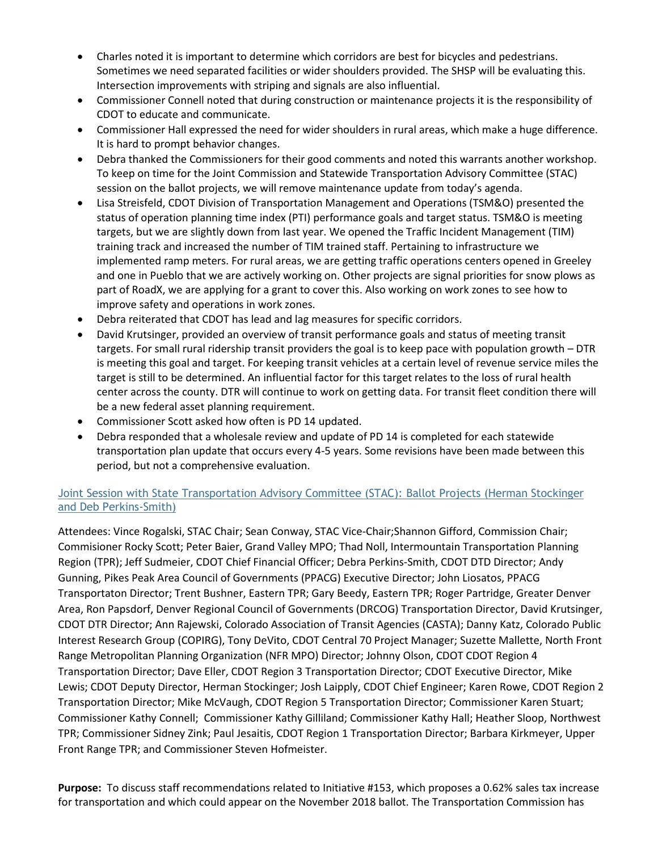- Charles noted it is important to determine which corridors are best for bicycles and pedestrians. Sometimes we need separated facilities or wider shoulders provided. The SHSP will be evaluating this. Intersection improvements with striping and signals are also influential.
- Commissioner Connell noted that during construction or maintenance projects it is the responsibility of CDOT to educate and communicate.
- Commissioner Hall expressed the need for wider shoulders in rural areas, which make a huge difference. It is hard to prompt behavior changes.
- Debra thanked the Commissioners for their good comments and noted this warrants another workshop. To keep on time for the Joint Commission and Statewide Transportation Advisory Committee (STAC) session on the ballot projects, we will remove maintenance update from today's agenda.
- Lisa Streisfeld, CDOT Division of Transportation Management and Operations (TSM&O) presented the status of operation planning time index (PTI) performance goals and target status. TSM&O is meeting targets, but we are slightly down from last year. We opened the Traffic Incident Management (TIM) training track and increased the number of TIM trained staff. Pertaining to infrastructure we implemented ramp meters. For rural areas, we are getting traffic operations centers opened in Greeley and one in Pueblo that we are actively working on. Other projects are signal priorities for snow plows as part of RoadX, we are applying for a grant to cover this. Also working on work zones to see how to improve safety and operations in work zones.
- Debra reiterated that CDOT has lead and lag measures for specific corridors.
- David Krutsinger, provided an overview of transit performance goals and status of meeting transit targets. For small rural ridership transit providers the goal is to keep pace with population growth – DTR is meeting this goal and target. For keeping transit vehicles at a certain level of revenue service miles the target is still to be determined. An influential factor for this target relates to the loss of rural health center across the county. DTR will continue to work on getting data. For transit fleet condition there will be a new federal asset planning requirement.
- Commissioner Scott asked how often is PD 14 updated.
- Debra responded that a wholesale review and update of PD 14 is completed for each statewide transportation plan update that occurs every 4-5 years. Some revisions have been made between this period, but not a comprehensive evaluation.

# [Joint Session with State Transportation Advisory Committee \(STAC\):](https://www.codot.gov/about/transportation-commission/documents/2018-agendas-and-supporting-documents/july-2018/6-ballot-list-of-projects-joint-stac-session.pdf) Ballot Projects (Herman Stockinger [and Deb Perkins-Smith\)](https://www.codot.gov/about/transportation-commission/documents/2018-agendas-and-supporting-documents/july-2018/6-ballot-list-of-projects-joint-stac-session.pdf)

Attendees: Vince Rogalski, STAC Chair; Sean Conway, STAC Vice-Chair;Shannon Gifford, Commission Chair; Commisioner Rocky Scott; Peter Baier, Grand Valley MPO; Thad Noll, Intermountain Transportation Planning Region (TPR); Jeff Sudmeier, CDOT Chief Financial Officer; Debra Perkins-Smith, CDOT DTD Director; Andy Gunning, Pikes Peak Area Council of Governments (PPACG) Executive Director; John Liosatos, PPACG Transportaton Director; Trent Bushner, Eastern TPR; Gary Beedy, Eastern TPR; Roger Partridge, Greater Denver Area, Ron Papsdorf, Denver Regional Council of Governments (DRCOG) Transportation Director, David Krutsinger, CDOT DTR Director; Ann Rajewski, Colorado Association of Transit Agencies (CASTA); Danny Katz, Colorado Public Interest Research Group (COPIRG), Tony DeVito, CDOT Central 70 Project Manager; Suzette Mallette, North Front Range Metropolitan Planning Organization (NFR MPO) Director; Johnny Olson, CDOT CDOT Region 4 Transportation Director; Dave Eller, CDOT Region 3 Transportation Director; CDOT Executive Director, Mike Lewis; CDOT Deputy Director, Herman Stockinger; Josh Laipply, CDOT Chief Engineer; Karen Rowe, CDOT Region 2 Transportation Director; Mike McVaugh, CDOT Region 5 Transportation Director; Commissioner Karen Stuart; Commissioner Kathy Connell; Commissioner Kathy Gilliland; Commissioner Kathy Hall; Heather Sloop, Northwest TPR; Commissioner Sidney Zink; Paul Jesaitis, CDOT Region 1 Transportation Director; Barbara Kirkmeyer, Upper Front Range TPR; and Commissioner Steven Hofmeister.

**Purpose:** To discuss staff recommendations related to Initiative #153, which proposes a 0.62% sales tax increase for transportation and which could appear on the November 2018 ballot. The Transportation Commission has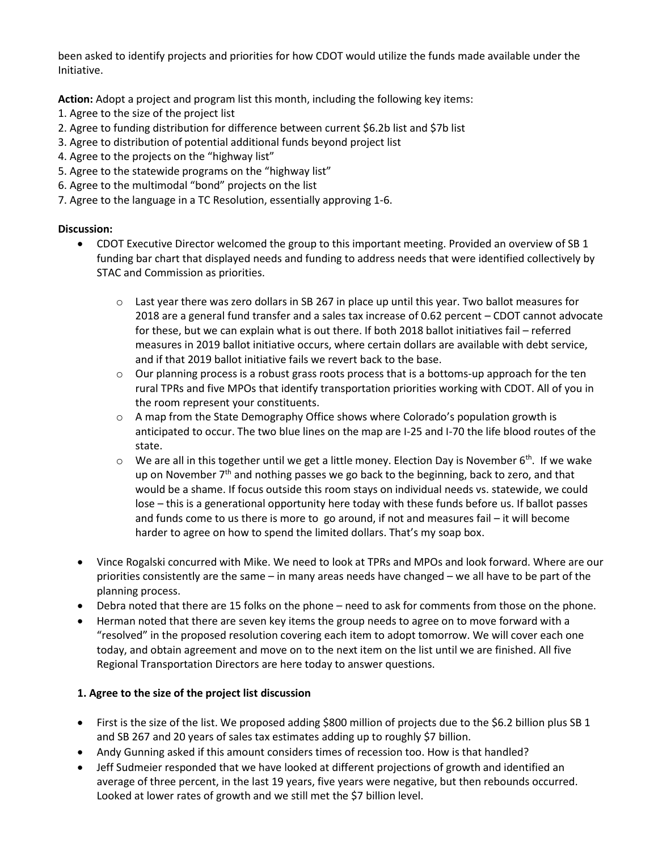been asked to identify projects and priorities for how CDOT would utilize the funds made available under the Initiative.

**Action:** Adopt a project and program list this month, including the following key items:

- 1. Agree to the size of the project list
- 2. Agree to funding distribution for difference between current \$6.2b list and \$7b list
- 3. Agree to distribution of potential additional funds beyond project list
- 4. Agree to the projects on the "highway list"
- 5. Agree to the statewide programs on the "highway list"
- 6. Agree to the multimodal "bond" projects on the list
- 7. Agree to the language in a TC Resolution, essentially approving 1-6.

# **Discussion:**

- CDOT Executive Director welcomed the group to this important meeting. Provided an overview of SB 1 funding bar chart that displayed needs and funding to address needs that were identified collectively by STAC and Commission as priorities.
	- o Last year there was zero dollars in SB 267 in place up until this year. Two ballot measures for 2018 are a general fund transfer and a sales tax increase of 0.62 percent – CDOT cannot advocate for these, but we can explain what is out there. If both 2018 ballot initiatives fail – referred measures in 2019 ballot initiative occurs, where certain dollars are available with debt service, and if that 2019 ballot initiative fails we revert back to the base.
	- $\circ$  Our planning process is a robust grass roots process that is a bottoms-up approach for the ten rural TPRs and five MPOs that identify transportation priorities working with CDOT. All of you in the room represent your constituents.
	- $\circ$  A map from the State Demography Office shows where Colorado's population growth is anticipated to occur. The two blue lines on the map are I-25 and I-70 the life blood routes of the state.
	- $\circ$  We are all in this together until we get a little money. Election Day is November 6<sup>th</sup>. If we wake up on November  $7<sup>th</sup>$  and nothing passes we go back to the beginning, back to zero, and that would be a shame. If focus outside this room stays on individual needs vs. statewide, we could lose – this is a generational opportunity here today with these funds before us. If ballot passes and funds come to us there is more to go around, if not and measures fail – it will become harder to agree on how to spend the limited dollars. That's my soap box.
- Vince Rogalski concurred with Mike. We need to look at TPRs and MPOs and look forward. Where are our priorities consistently are the same – in many areas needs have changed – we all have to be part of the planning process.
- Debra noted that there are 15 folks on the phone need to ask for comments from those on the phone.
- Herman noted that there are seven key items the group needs to agree on to move forward with a "resolved" in the proposed resolution covering each item to adopt tomorrow. We will cover each one today, and obtain agreement and move on to the next item on the list until we are finished. All five Regional Transportation Directors are here today to answer questions.

# **1. Agree to the size of the project list discussion**

- First is the size of the list. We proposed adding \$800 million of projects due to the \$6.2 billion plus SB 1 and SB 267 and 20 years of sales tax estimates adding up to roughly \$7 billion.
- Andy Gunning asked if this amount considers times of recession too. How is that handled?
- Jeff Sudmeier responded that we have looked at different projections of growth and identified an average of three percent, in the last 19 years, five years were negative, but then rebounds occurred. Looked at lower rates of growth and we still met the \$7 billion level.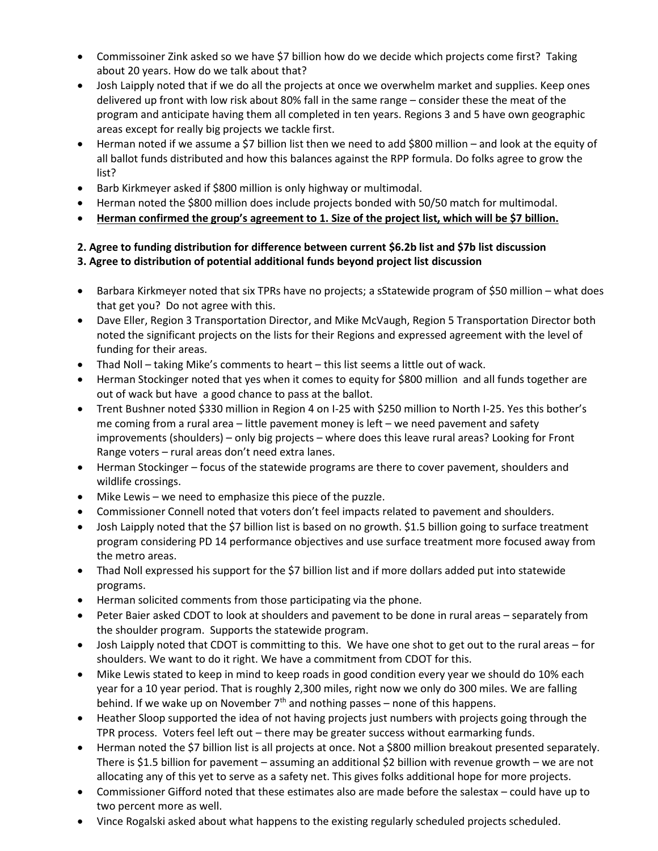- Commissoiner Zink asked so we have \$7 billion how do we decide which projects come first? Taking about 20 years. How do we talk about that?
- Josh Laipply noted that if we do all the projects at once we overwhelm market and supplies. Keep ones delivered up front with low risk about 80% fall in the same range – consider these the meat of the program and anticipate having them all completed in ten years. Regions 3 and 5 have own geographic areas except for really big projects we tackle first.
- Herman noted if we assume a \$7 billion list then we need to add \$800 million and look at the equity of all ballot funds distributed and how this balances against the RPP formula. Do folks agree to grow the list?
- Barb Kirkmeyer asked if \$800 million is only highway or multimodal.
- Herman noted the \$800 million does include projects bonded with 50/50 match for multimodal.
- **Herman confirmed the group's agreement to 1. Size of the project list, which will be \$7 billion.**

# **2. Agree to funding distribution for difference between current \$6.2b list and \$7b list discussion 3. Agree to distribution of potential additional funds beyond project list discussion**

- Barbara Kirkmeyer noted that six TPRs have no projects; a sStatewide program of \$50 million what does that get you? Do not agree with this.
- Dave Eller, Region 3 Transportation Director, and Mike McVaugh, Region 5 Transportation Director both noted the significant projects on the lists for their Regions and expressed agreement with the level of funding for their areas.
- Thad Noll taking Mike's comments to heart this list seems a little out of wack.
- Herman Stockinger noted that yes when it comes to equity for \$800 million and all funds together are out of wack but have a good chance to pass at the ballot.
- Trent Bushner noted \$330 million in Region 4 on I-25 with \$250 million to North I-25. Yes this bother's me coming from a rural area – little pavement money is left – we need pavement and safety improvements (shoulders) – only big projects – where does this leave rural areas? Looking for Front Range voters – rural areas don't need extra lanes.
- Herman Stockinger focus of the statewide programs are there to cover pavement, shoulders and wildlife crossings.
- Mike Lewis we need to emphasize this piece of the puzzle.
- Commissioner Connell noted that voters don't feel impacts related to pavement and shoulders.
- Josh Laipply noted that the \$7 billion list is based on no growth. \$1.5 billion going to surface treatment program considering PD 14 performance objectives and use surface treatment more focused away from the metro areas.
- Thad Noll expressed his support for the \$7 billion list and if more dollars added put into statewide programs.
- Herman solicited comments from those participating via the phone.
- Peter Baier asked CDOT to look at shoulders and pavement to be done in rural areas separately from the shoulder program. Supports the statewide program.
- Josh Laipply noted that CDOT is committing to this. We have one shot to get out to the rural areas for shoulders. We want to do it right. We have a commitment from CDOT for this.
- Mike Lewis stated to keep in mind to keep roads in good condition every year we should do 10% each year for a 10 year period. That is roughly 2,300 miles, right now we only do 300 miles. We are falling behind. If we wake up on November  $7<sup>th</sup>$  and nothing passes – none of this happens.
- Heather Sloop supported the idea of not having projects just numbers with projects going through the TPR process. Voters feel left out – there may be greater success without earmarking funds.
- Herman noted the \$7 billion list is all projects at once. Not a \$800 million breakout presented separately. There is \$1.5 billion for pavement – assuming an additional \$2 billion with revenue growth – we are not allocating any of this yet to serve as a safety net. This gives folks additional hope for more projects.
- Commissioner Gifford noted that these estimates also are made before the salestax could have up to two percent more as well.
- Vince Rogalski asked about what happens to the existing regularly scheduled projects scheduled.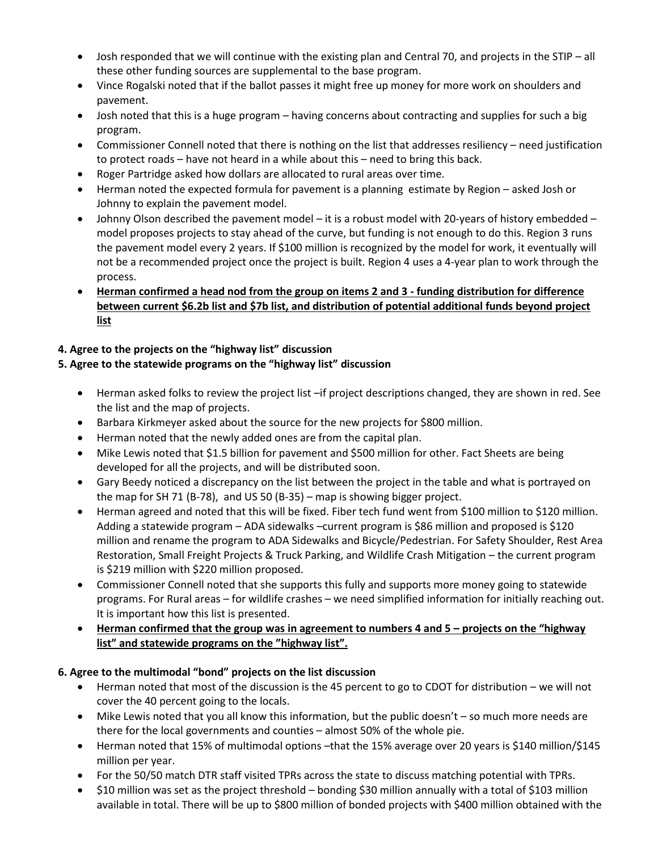- Josh responded that we will continue with the existing plan and Central 70, and projects in the STIP all these other funding sources are supplemental to the base program.
- Vince Rogalski noted that if the ballot passes it might free up money for more work on shoulders and pavement.
- Josh noted that this is a huge program having concerns about contracting and supplies for such a big program.
- Commissioner Connell noted that there is nothing on the list that addresses resiliency need justification to protect roads – have not heard in a while about this – need to bring this back.
- Roger Partridge asked how dollars are allocated to rural areas over time.
- Herman noted the expected formula for pavement is a planning estimate by Region asked Josh or Johnny to explain the pavement model.
- Johnny Olson described the pavement model it is a robust model with 20-years of history embedded model proposes projects to stay ahead of the curve, but funding is not enough to do this. Region 3 runs the pavement model every 2 years. If \$100 million is recognized by the model for work, it eventually will not be a recommended project once the project is built. Region 4 uses a 4-year plan to work through the process.
- **Herman confirmed a head nod from the group on items 2 and 3 - funding distribution for difference between current \$6.2b list and \$7b list, and distribution of potential additional funds beyond project list**

# **4. Agree to the projects on the "highway list" discussion**

# **5. Agree to the statewide programs on the "highway list" discussion**

- Herman asked folks to review the project list –if project descriptions changed, they are shown in red. See the list and the map of projects.
- Barbara Kirkmeyer asked about the source for the new projects for \$800 million.
- Herman noted that the newly added ones are from the capital plan.
- Mike Lewis noted that \$1.5 billion for pavement and \$500 million for other. Fact Sheets are being developed for all the projects, and will be distributed soon.
- Gary Beedy noticed a discrepancy on the list between the project in the table and what is portrayed on the map for SH 71 (B-78), and US 50 (B-35) – map is showing bigger project.
- Herman agreed and noted that this will be fixed. Fiber tech fund went from \$100 million to \$120 million. Adding a statewide program – ADA sidewalks –current program is \$86 million and proposed is \$120 million and rename the program to ADA Sidewalks and Bicycle/Pedestrian. For Safety Shoulder, Rest Area Restoration, Small Freight Projects & Truck Parking, and Wildlife Crash Mitigation – the current program is \$219 million with \$220 million proposed.
- Commissioner Connell noted that she supports this fully and supports more money going to statewide programs. For Rural areas – for wildlife crashes – we need simplified information for initially reaching out. It is important how this list is presented.
- **•** Herman confirmed that the group was in agreement to numbers 4 and 5 projects on the "highway **list" and statewide programs on the "highway list".**

# **6. Agree to the multimodal "bond" projects on the list discussion**

- Herman noted that most of the discussion is the 45 percent to go to CDOT for distribution we will not cover the 40 percent going to the locals.
- Mike Lewis noted that you all know this information, but the public doesn't so much more needs are there for the local governments and counties – almost 50% of the whole pie.
- Herman noted that 15% of multimodal options –that the 15% average over 20 years is \$140 million/\$145 million per year.
- For the 50/50 match DTR staff visited TPRs across the state to discuss matching potential with TPRs.
- \$10 million was set as the project threshold bonding \$30 million annually with a total of \$103 million available in total. There will be up to \$800 million of bonded projects with \$400 million obtained with the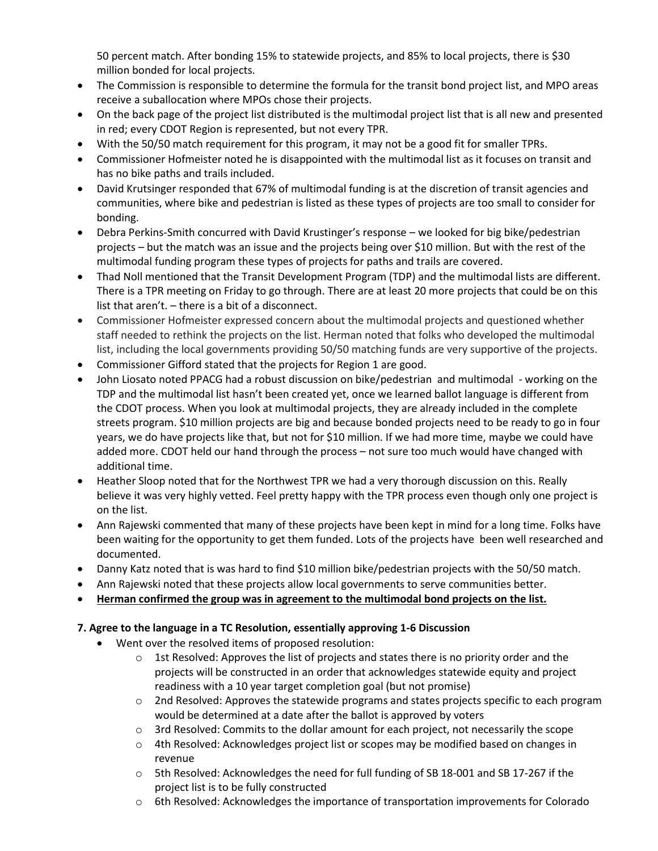50 percent match. After bonding 15% to statewide projects, and 85% to local projects, there is \$30 million bonded for local projects.

- The Commission is responsible to determine the formula for the transit bond project list, and MPO areas receive a suballocation where MPOs chose their projects.
- On the back page of the project list distributed is the multimodal project list that is all new and presented in red; every CDOT Region is represented, but not every TPR.
- With the 50/50 match requirement for this program, it may not be a good fit for smaller TPRs.
- Commissioner Hofmeister noted he is disappointed with the multimodal list as it focuses on transit and has no bike paths and trails included.
- David Krutsinger responded that 67% of multimodal funding is at the discretion of transit agencies and communities, where bike and pedestrian is listed as these types of projects are too small to consider for bonding.
- Debra Perkins-Smith concurred with David Krustinger's response we looked for big bike/pedestrian projects – but the match was an issue and the projects being over \$10 million. But with the rest of the multimodal funding program these types of projects for paths and trails are covered.
- Thad Noll mentioned that the Transit Development Program (TDP) and the multimodal lists are different. There is a TPR meeting on Friday to go through. There are at least 20 more projects that could be on this list that aren't. – there is a bit of a disconnect.
- Commissioner Hofmeister expressed concern about the multimodal projects and questioned whether staff needed to rethink the projects on the list. Herman noted that folks who developed the multimodal list, including the local governments providing 50/50 matching funds are very supportive of the projects.
- Commissioner Gifford stated that the projects for Region 1 are good.
- John Liosato noted PPACG had a robust discussion on bike/pedestrian and multimodal working on the TDP and the multimodal list hasn't been created yet, once we learned ballot language is different from the CDOT process. When you look at multimodal projects, they are already included in the complete streets program. \$10 million projects are big and because bonded projects need to be ready to go in four years, we do have projects like that, but not for \$10 million. If we had more time, maybe we could have added more. CDOT held our hand through the process – not sure too much would have changed with additional time.
- Heather Sloop noted that for the Northwest TPR we had a very thorough discussion on this. Really believe it was very highly vetted. Feel pretty happy with the TPR process even though only one project is on the list.
- Ann Rajewski commented that many of these projects have been kept in mind for a long time. Folks have been waiting for the opportunity to get them funded. Lots of the projects have been well researched and documented.
- Danny Katz noted that is was hard to find \$10 million bike/pedestrian projects with the 50/50 match.
- Ann Rajewski noted that these projects allow local governments to serve communities better.
- **Herman confirmed the group was in agreement to the multimodal bond projects on the list.**

# **7. Agree to the language in a TC Resolution, essentially approving 1-6 Discussion**

- Went over the resolved items of proposed resolution:
	- $\circ$  1st Resolved: Approves the list of projects and states there is no priority order and the projects will be constructed in an order that acknowledges statewide equity and project readiness with a 10 year target completion goal (but not promise)
	- o 2nd Resolved: Approves the statewide programs and states projects specific to each program would be determined at a date after the ballot is approved by voters
	- o 3rd Resolved: Commits to the dollar amount for each project, not necessarily the scope
	- o 4th Resolved: Acknowledges project list or scopes may be modified based on changes in revenue
	- o 5th Resolved: Acknowledges the need for full funding of SB 18-001 and SB 17-267 if the project list is to be fully constructed
	- o 6th Resolved: Acknowledges the importance of transportation improvements for Colorado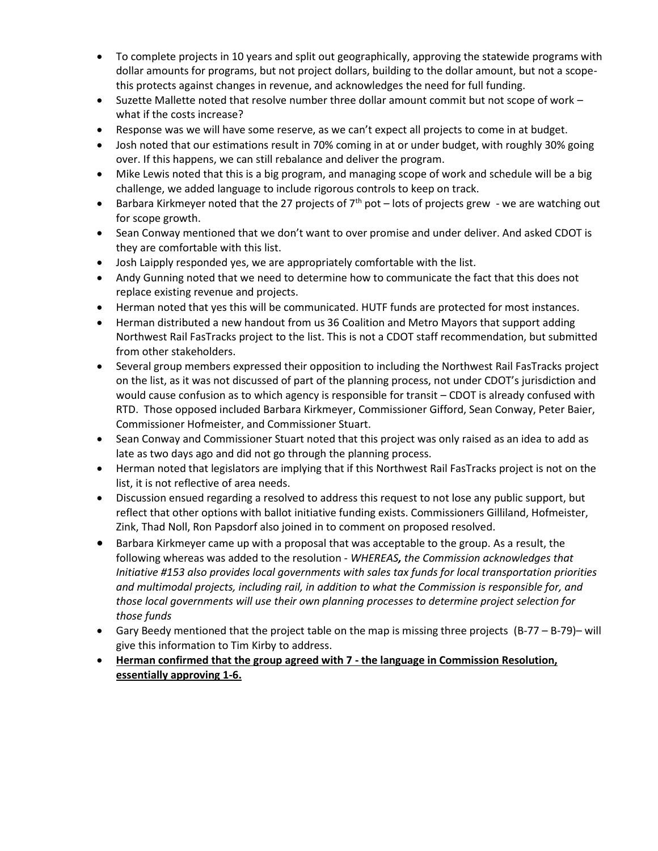- To complete projects in 10 years and split out geographically, approving the statewide programs with dollar amounts for programs, but not project dollars, building to the dollar amount, but not a scopethis protects against changes in revenue, and acknowledges the need for full funding.
- Suzette Mallette noted that resolve number three dollar amount commit but not scope of work what if the costs increase?
- Response was we will have some reserve, as we can't expect all projects to come in at budget.
- Josh noted that our estimations result in 70% coming in at or under budget, with roughly 30% going over. If this happens, we can still rebalance and deliver the program.
- Mike Lewis noted that this is a big program, and managing scope of work and schedule will be a big challenge, we added language to include rigorous controls to keep on track.
- Barbara Kirkmeyer noted that the 27 projects of  $7<sup>th</sup>$  pot lots of projects grew we are watching out for scope growth.
- Sean Conway mentioned that we don't want to over promise and under deliver. And asked CDOT is they are comfortable with this list.
- Josh Laipply responded yes, we are appropriately comfortable with the list.
- Andy Gunning noted that we need to determine how to communicate the fact that this does not replace existing revenue and projects.
- Herman noted that yes this will be communicated. HUTF funds are protected for most instances.
- Herman distributed a new handout from us 36 Coalition and Metro Mayors that support adding Northwest Rail FasTracks project to the list. This is not a CDOT staff recommendation, but submitted from other stakeholders.
- Several group members expressed their opposition to including the Northwest Rail FasTracks project on the list, as it was not discussed of part of the planning process, not under CDOT's jurisdiction and would cause confusion as to which agency is responsible for transit – CDOT is already confused with RTD. Those opposed included Barbara Kirkmeyer, Commissioner Gifford, Sean Conway, Peter Baier, Commissioner Hofmeister, and Commissioner Stuart.
- Sean Conway and Commissioner Stuart noted that this project was only raised as an idea to add as late as two days ago and did not go through the planning process.
- Herman noted that legislators are implying that if this Northwest Rail FasTracks project is not on the list, it is not reflective of area needs.
- Discussion ensued regarding a resolved to address this request to not lose any public support, but reflect that other options with ballot initiative funding exists. Commissioners Gilliland, Hofmeister, Zink, Thad Noll, Ron Papsdorf also joined in to comment on proposed resolved.
- Barbara Kirkmeyer came up with a proposal that was acceptable to the group. As a result, the following whereas was added to the resolution - *WHEREAS, the Commission acknowledges that Initiative #153 also provides local governments with sales tax funds for local transportation priorities and multimodal projects, including rail, in addition to what the Commission is responsible for, and those local governments will use their own planning processes to determine project selection for those funds*
- Gary Beedy mentioned that the project table on the map is missing three projects (B-77 B-79)– will give this information to Tim Kirby to address.
- **Herman confirmed that the group agreed with 7 - the language in Commission Resolution, essentially approving 1-6.**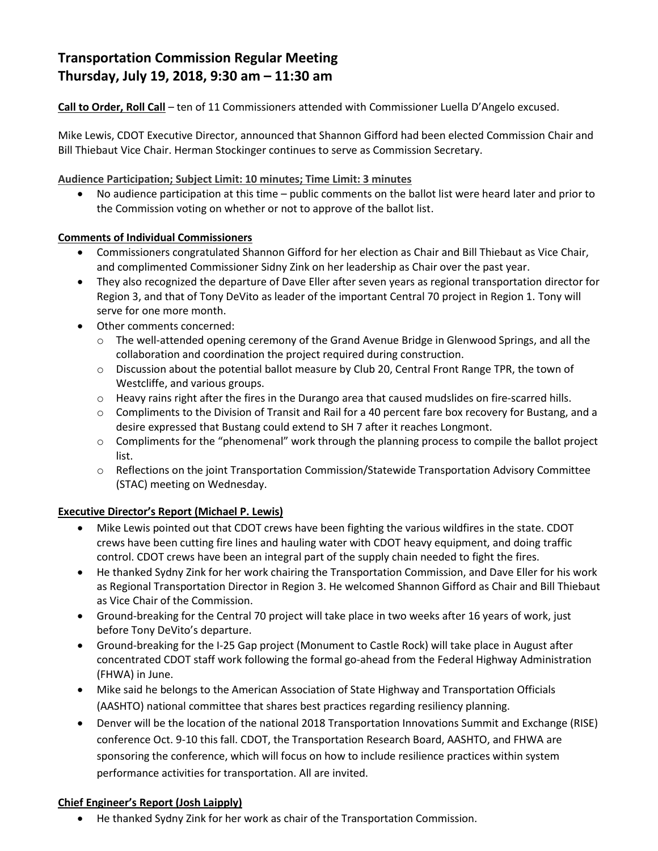# **Transportation Commission Regular Meeting Thursday, July 19, 2018, 9:30 am – 11:30 am**

**Call to Order, Roll Call** – ten of 11 Commissioners attended with Commissioner Luella D'Angelo excused.

Mike Lewis, CDOT Executive Director, announced that Shannon Gifford had been elected Commission Chair and Bill Thiebaut Vice Chair. Herman Stockinger continues to serve as Commission Secretary.

**Audience Participation; Subject Limit: 10 minutes; Time Limit: 3 minutes**

 No audience participation at this time – public comments on the ballot list were heard later and prior to the Commission voting on whether or not to approve of the ballot list.

# **Comments of Individual Commissioners**

- Commissioners congratulated Shannon Gifford for her election as Chair and Bill Thiebaut as Vice Chair, and complimented Commissioner Sidny Zink on her leadership as Chair over the past year.
- They also recognized the departure of Dave Eller after seven years as regional transportation director for Region 3, and that of Tony DeVito as leader of the important Central 70 project in Region 1. Tony will serve for one more month.
- Other comments concerned:
	- o The well-attended opening ceremony of the Grand Avenue Bridge in Glenwood Springs, and all the collaboration and coordination the project required during construction.
	- o Discussion about the potential ballot measure by Club 20, Central Front Range TPR, the town of Westcliffe, and various groups.
	- $\circ$  Heavy rains right after the fires in the Durango area that caused mudslides on fire-scarred hills.
	- $\circ$  Compliments to the Division of Transit and Rail for a 40 percent fare box recovery for Bustang, and a desire expressed that Bustang could extend to SH 7 after it reaches Longmont.
	- $\circ$  Compliments for the "phenomenal" work through the planning process to compile the ballot project list.
	- o Reflections on the joint Transportation Commission/Statewide Transportation Advisory Committee (STAC) meeting on Wednesday.

# **Executive Director's Report (Michael P. Lewis)**

- Mike Lewis pointed out that CDOT crews have been fighting the various wildfires in the state. CDOT crews have been cutting fire lines and hauling water with CDOT heavy equipment, and doing traffic control. CDOT crews have been an integral part of the supply chain needed to fight the fires.
- He thanked Sydny Zink for her work chairing the Transportation Commission, and Dave Eller for his work as Regional Transportation Director in Region 3. He welcomed Shannon Gifford as Chair and Bill Thiebaut as Vice Chair of the Commission.
- Ground-breaking for the Central 70 project will take place in two weeks after 16 years of work, just before Tony DeVito's departure.
- Ground-breaking for the I-25 Gap project (Monument to Castle Rock) will take place in August after concentrated CDOT staff work following the formal go-ahead from the Federal Highway Administration (FHWA) in June.
- Mike said he belongs to the American Association of State Highway and Transportation Officials (AASHTO) national committee that shares best practices regarding resiliency planning.
- Denver will be the location of the national 2018 Transportation Innovations Summit and Exchange (RISE) conference Oct. 9-10 this fall. CDOT, the Transportation Research Board, AASHTO, and FHWA are sponsoring the conference, which will focus on how to include resilience practices within system performance activities for transportation. All are invited.

# **Chief Engineer's Report (Josh Laipply)**

He thanked Sydny Zink for her work as chair of the Transportation Commission.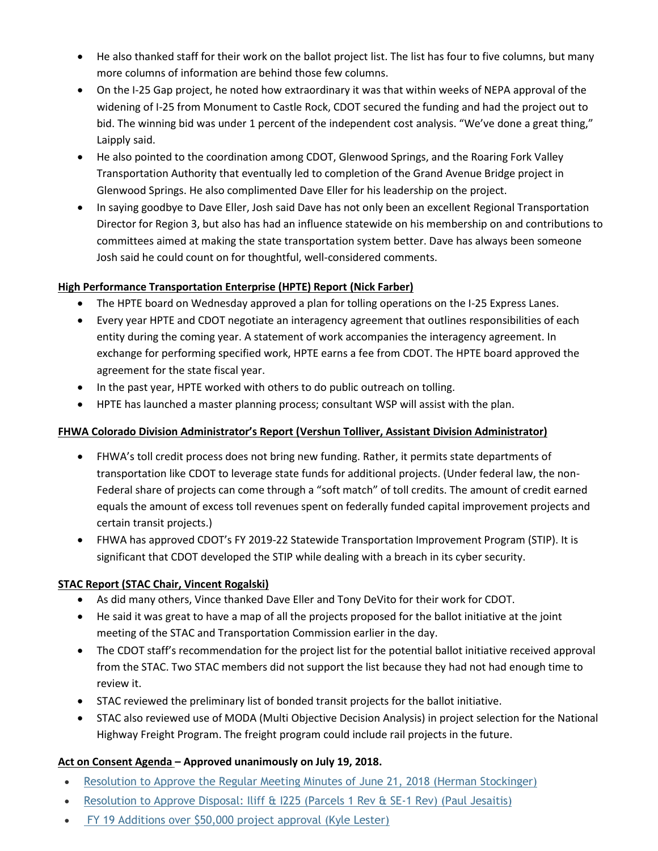- He also thanked staff for their work on the ballot project list. The list has four to five columns, but many more columns of information are behind those few columns.
- On the I-25 Gap project, he noted how extraordinary it was that within weeks of NEPA approval of the widening of I-25 from Monument to Castle Rock, CDOT secured the funding and had the project out to bid. The winning bid was under 1 percent of the independent cost analysis. "We've done a great thing," Laipply said.
- He also pointed to the coordination among CDOT, Glenwood Springs, and the Roaring Fork Valley Transportation Authority that eventually led to completion of the Grand Avenue Bridge project in Glenwood Springs. He also complimented Dave Eller for his leadership on the project.
- In saying goodbye to Dave Eller, Josh said Dave has not only been an excellent Regional Transportation Director for Region 3, but also has had an influence statewide on his membership on and contributions to committees aimed at making the state transportation system better. Dave has always been someone Josh said he could count on for thoughtful, well-considered comments.

# **High Performance Transportation Enterprise (HPTE) Report (Nick Farber)**

- The HPTE board on Wednesday approved a plan for tolling operations on the I-25 Express Lanes.
- Every year HPTE and CDOT negotiate an interagency agreement that outlines responsibilities of each entity during the coming year. A statement of work accompanies the interagency agreement. In exchange for performing specified work, HPTE earns a fee from CDOT. The HPTE board approved the agreement for the state fiscal year.
- In the past year, HPTE worked with others to do public outreach on tolling.
- HPTE has launched a master planning process; consultant WSP will assist with the plan.

# **FHWA Colorado Division Administrator's Report (Vershun Tolliver, Assistant Division Administrator)**

- FHWA's toll credit process does not bring new funding. Rather, it permits state departments of transportation like CDOT to leverage state funds for additional projects. (Under federal law, the non-Federal share of projects can come through a "soft match" of toll credits. The amount of credit earned equals the amount of excess toll revenues spent on federally funded capital improvement projects and certain transit projects.)
- FHWA has approved CDOT's FY 2019-22 Statewide Transportation Improvement Program (STIP). It is significant that CDOT developed the STIP while dealing with a breach in its cyber security.

# **STAC Report (STAC Chair, Vincent Rogalski)**

- As did many others, Vince thanked Dave Eller and Tony DeVito for their work for CDOT.
- He said it was great to have a map of all the projects proposed for the ballot initiative at the joint meeting of the STAC and Transportation Commission earlier in the day.
- The CDOT staff's recommendation for the project list for the potential ballot initiative received approval from the STAC. Two STAC members did not support the list because they had not had enough time to review it.
- STAC reviewed the preliminary list of bonded transit projects for the ballot initiative.
- STAC also reviewed use of MODA (Multi Objective Decision Analysis) in project selection for the National Highway Freight Program. The freight program could include rail projects in the future.

# **[Act on Consent Agenda](https://www.codot.gov/about/transportation-commission/documents/2018-agendas-and-supporting-documents/june-2018/9-consent-agenda.pdf) – Approved unanimously on July 19, 2018.**

- [Resolution to Approve the Regular Meeting Minutes of June 21, 2018](https://www.codot.gov/about/transportation-commission/documents/2018-agendas-and-supporting-documents/july-2018/7-consent-agenda.pdf) (Herman Stockinger)
- [Resolution to Approve Disposal: Iliff & I225 \(Parcels 1 Rev & SE-1 Rev\) \(Paul Jesaitis\)](https://www.codot.gov/about/transportation-commission/documents/2018-agendas-and-supporting-documents/july-2018/7-consent-agenda.pdf)
- [FY 19 Additions over \\$50,000 project approval \(Kyle Lester\)](https://www.codot.gov/about/transportation-commission/documents/2018-agendas-and-supporting-documents/july-2018/7-consent-agenda.pdf)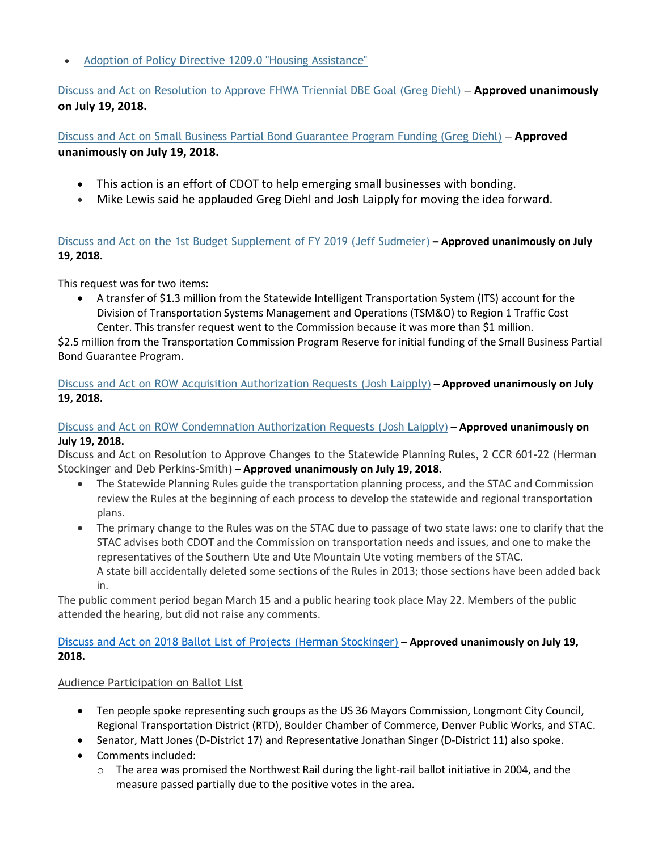[Adoption of Policy Directive 1209.0 "Housing Assistance"](https://www.codot.gov/about/transportation-commission/documents/2018-agendas-and-supporting-documents/july-2018/7-consent-agenda.pdf)

[Discuss and Act on Resolution to Approve FHWA Triennial DBE Goal \(Greg Diehl\)](https://www.codot.gov/about/transportation-commission/documents/2018-agendas-and-supporting-documents/july-2018/8-fhwa-triennial.pdf) **– Approved unanimously on July 19, 2018.**

[Discuss and Act on Small Business Partial Bond Guarantee Program](https://www.codot.gov/about/transportation-commission/documents/2018-agendas-and-supporting-documents/july-2018/4-sbd-bond-program.pdf) Funding (Greg Diehl) **– Approved unanimously on July 19, 2018.**

- This action is an effort of CDOT to help emerging small businesses with bonding.
- Mike Lewis said he applauded Greg Diehl and Josh Laipply for moving the idea forward.

[Discuss and Act on the 1st Budget Supplement of FY 2019 \(Jeff Sudmeier\)](https://www.codot.gov/about/transportation-commission/documents/2018-agendas-and-supporting-documents/july-2018/9-budget-supplement.pdf) **– Approved unanimously on July 19, 2018.**

This request was for two items:

 A transfer of \$1.3 million from the Statewide Intelligent Transportation System (ITS) account for the Division of Transportation Systems Management and Operations (TSM&O) to Region 1 Traffic Cost Center. This transfer request went to the Commission because it was more than \$1 million.

\$2.5 million from the Transportation Commission Program Reserve for initial funding of the Small Business Partial Bond Guarantee Program.

[Discuss and Act on ROW Acquisition Authorization Requests](https://www.codot.gov/about/transportation-commission/documents/2018-agendas-and-supporting-documents/july-2018/tc-row-2018-07-final.pdf) (Josh Laipply) **– Approved unanimously on July 19, 2018.**

# [Discuss and Act on ROW Condemnation Authorization Requests](https://www.codot.gov/about/transportation-commission/documents/2018-agendas-and-supporting-documents/july-2018/tc-row-2018-07-final.pdf) (Josh Laipply) **– Approved unanimously on July 19, 2018.**

[Discuss and Act on Resolution to Approve Changes to the Statewide Planning Rules, 2 CCR 601-22](https://www.codot.gov/about/transportation-commission/documents/2018-agendas-and-supporting-documents/july-2018/10-statewide-planning-rules.pdf) (Herman [Stockinger and Deb Perkins-Smith\)](https://www.codot.gov/about/transportation-commission/documents/2018-agendas-and-supporting-documents/july-2018/10-statewide-planning-rules.pdf) **– Approved unanimously on July 19, 2018.**

- The Statewide Planning Rules guide the transportation planning process, and the STAC and Commission review the Rules at the beginning of each process to develop the statewide and regional transportation plans.
- The primary change to the Rules was on the STAC due to passage of two state laws: one to clarify that the STAC advises both CDOT and the Commission on transportation needs and issues, and one to make the representatives of the Southern Ute and Ute Mountain Ute voting members of the STAC. A state bill accidentally deleted some sections of the Rules in 2013; those sections have been added back in.

The public comment period began March 15 and a public hearing took place May 22. Members of the public attended the hearing, but did not raise any comments.

# [Discuss and Act on 2018 Ballot List of Projects \(Herman Stockinger\)](https://www.codot.gov/about/transportation-commission/documents/2018-agendas-and-supporting-documents/july-2018/6-ballot-list-of-projects-joint-stac-session.pdf) **– Approved unanimously on July 19, 2018.**

# Audience Participation on Ballot List

- Ten people spoke representing such groups as the US 36 Mayors Commission, Longmont City Council, Regional Transportation District (RTD), Boulder Chamber of Commerce, Denver Public Works, and STAC.
- Senator, Matt Jones (D-District 17) and Representative Jonathan Singer (D-District 11) also spoke.
- Comments included:
	- o The area was promised the Northwest Rail during the light-rail ballot initiative in 2004, and the measure passed partially due to the positive votes in the area.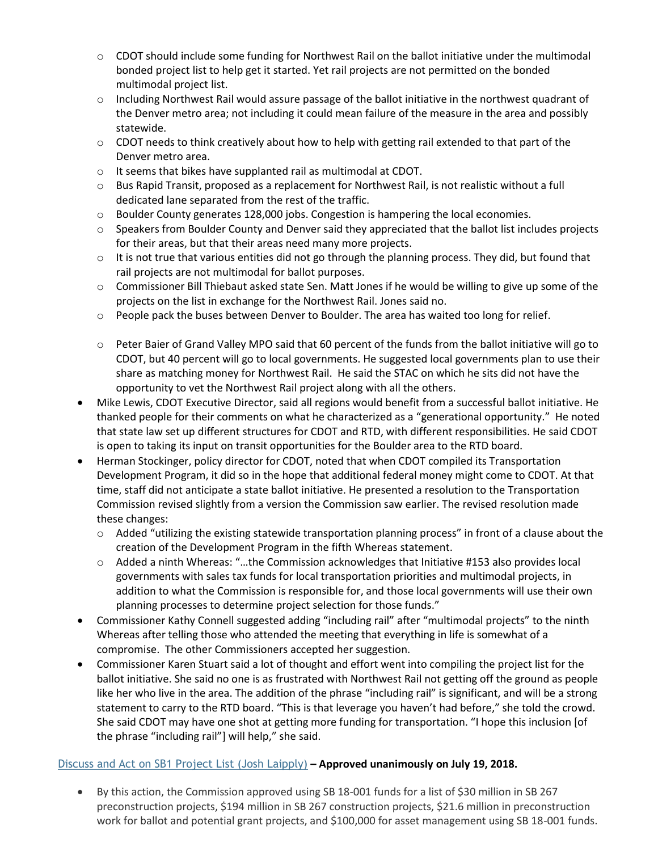- $\circ$  CDOT should include some funding for Northwest Rail on the ballot initiative under the multimodal bonded project list to help get it started. Yet rail projects are not permitted on the bonded multimodal project list.
- $\circ$  Including Northwest Rail would assure passage of the ballot initiative in the northwest quadrant of the Denver metro area; not including it could mean failure of the measure in the area and possibly statewide.
- $\circ$  CDOT needs to think creatively about how to help with getting rail extended to that part of the Denver metro area.
- o It seems that bikes have supplanted rail as multimodal at CDOT.
- o Bus Rapid Transit, proposed as a replacement for Northwest Rail, is not realistic without a full dedicated lane separated from the rest of the traffic.
- $\circ$  Boulder County generates 128,000 jobs. Congestion is hampering the local economies.
- o Speakers from Boulder County and Denver said they appreciated that the ballot list includes projects for their areas, but that their areas need many more projects.
- $\circ$  It is not true that various entities did not go through the planning process. They did, but found that rail projects are not multimodal for ballot purposes.
- $\circ$  Commissioner Bill Thiebaut asked state Sen. Matt Jones if he would be willing to give up some of the projects on the list in exchange for the Northwest Rail. Jones said no.
- o People pack the buses between Denver to Boulder. The area has waited too long for relief.
- $\circ$  Peter Baier of Grand Valley MPO said that 60 percent of the funds from the ballot initiative will go to CDOT, but 40 percent will go to local governments. He suggested local governments plan to use their share as matching money for Northwest Rail. He said the STAC on which he sits did not have the opportunity to vet the Northwest Rail project along with all the others.
- Mike Lewis, CDOT Executive Director, said all regions would benefit from a successful ballot initiative. He thanked people for their comments on what he characterized as a "generational opportunity." He noted that state law set up different structures for CDOT and RTD, with different responsibilities. He said CDOT is open to taking its input on transit opportunities for the Boulder area to the RTD board.
- Herman Stockinger, policy director for CDOT, noted that when CDOT compiled its Transportation Development Program, it did so in the hope that additional federal money might come to CDOT. At that time, staff did not anticipate a state ballot initiative. He presented a resolution to the Transportation Commission revised slightly from a version the Commission saw earlier. The revised resolution made these changes:
	- $\circ$  Added "utilizing the existing statewide transportation planning process" in front of a clause about the creation of the Development Program in the fifth Whereas statement.
	- o Added a ninth Whereas: "…the Commission acknowledges that Initiative #153 also provides local governments with sales tax funds for local transportation priorities and multimodal projects, in addition to what the Commission is responsible for, and those local governments will use their own planning processes to determine project selection for those funds."
- Commissioner Kathy Connell suggested adding "including rail" after "multimodal projects" to the ninth Whereas after telling those who attended the meeting that everything in life is somewhat of a compromise. The other Commissioners accepted her suggestion.
- Commissioner Karen Stuart said a lot of thought and effort went into compiling the project list for the ballot initiative. She said no one is as frustrated with Northwest Rail not getting off the ground as people like her who live in the area. The addition of the phrase "including rail" is significant, and will be a strong statement to carry to the RTD board. "This is that leverage you haven't had before," she told the crowd. She said CDOT may have one shot at getting more funding for transportation. "I hope this inclusion [of the phrase "including rail"] will help," she said.

# [Discuss and Act on SB1 Project List \(Josh Laipply\)](https://www.codot.gov/about/transportation-commission/documents/2018-agendas-and-supporting-documents/july-2018/11-sb-1-approval.pdf) **– Approved unanimously on July 19, 2018.**

 By this action, the Commission approved using SB 18-001 funds for a list of \$30 million in SB 267 preconstruction projects, \$194 million in SB 267 construction projects, \$21.6 million in preconstruction work for ballot and potential grant projects, and \$100,000 for asset management using SB 18-001 funds.